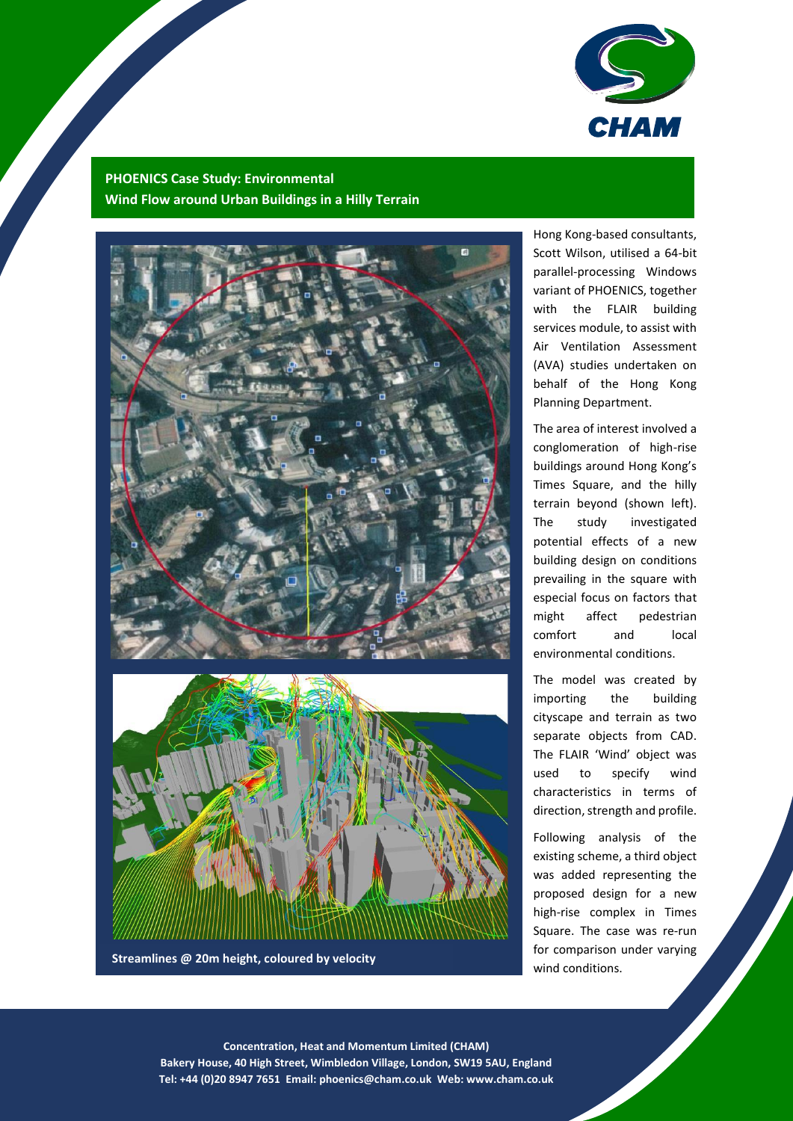

## **PHOENICS Case Study: Environmental Wind Flow around Urban Buildings in a Hilly Terrain**



**Streamlines @ 20m height, coloured by velocity**

Hong Kong-based consultants, Scott Wilson, utilised a 64-bit parallel-processing Windows variant of PHOENICS, together with the FLAIR building services module, to assist with Air Ventilation Assessment (AVA) studies undertaken on behalf of the Hong Kong Planning Department.

The area of interest involved a conglomeration of high-rise buildings around Hong Kong's Times Square, and the hilly terrain beyond (shown left). The study investigated potential effects of a new building design on conditions prevailing in the square with especial focus on factors that might affect pedestrian comfort and local environmental conditions.

The model was created by importing the building cityscape and terrain as two separate objects from CAD. The FLAIR 'Wind' object was used to specify wind characteristics in terms of direction, strength and profile.

Following analysis of the existing scheme, a third object was added representing the proposed design for a new high-rise complex in Times Square. The case was re-run for comparison under varying wind conditions.

1 **Concentration, Heat and Momentum Limited (CHAM) Bakery House, 40 High Street, Wimbledon Village, London, SW19 5AU, England Tel: +44 (0)20 8947 7651 Email: [phoenics@cham.co.uk](mailto:phoenics@cham.co.uk) Web: www.cham.co.uk**